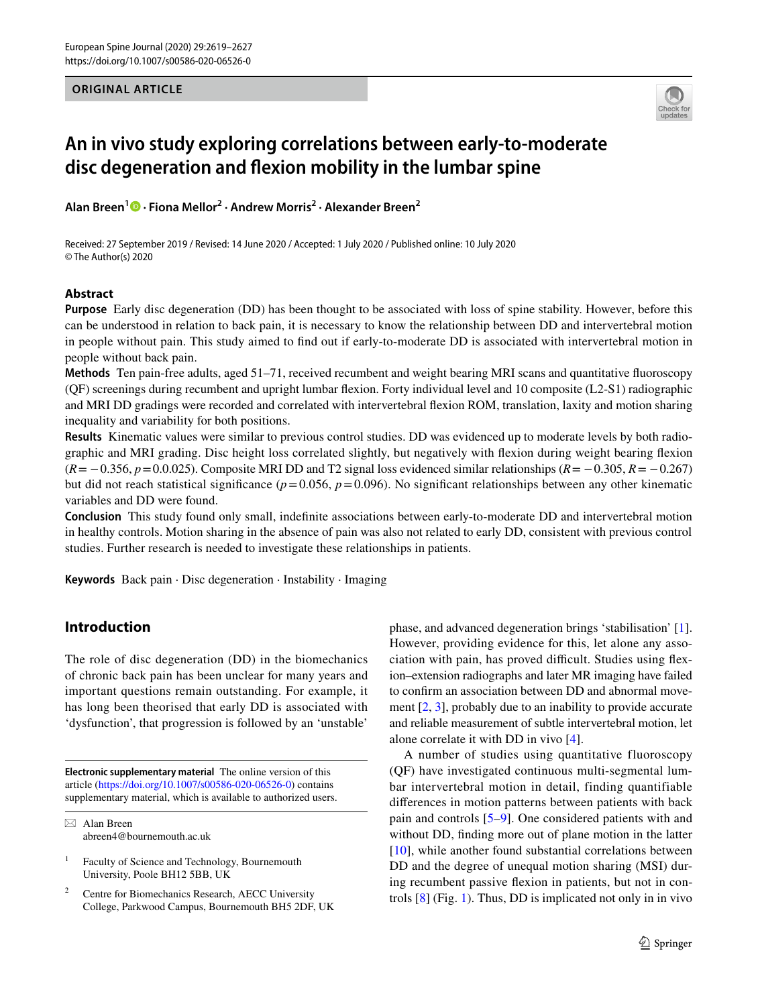## **ORIGINAL ARTICLE**



# **An in vivo study exploring correlations between early‑to‑moderate disc degeneration and fexion mobility in the lumbar spine**

**Alan Breen<sup>1</sup>  [·](http://orcid.org/0000-0003-4340-9167) Fiona Mellor2 · Andrew Morris2 · Alexander Breen2**

Received: 27 September 2019 / Revised: 14 June 2020 / Accepted: 1 July 2020 / Published online: 10 July 2020 © The Author(s) 2020

## **Abstract**

**Purpose** Early disc degeneration (DD) has been thought to be associated with loss of spine stability. However, before this can be understood in relation to back pain, it is necessary to know the relationship between DD and intervertebral motion in people without pain. This study aimed to fnd out if early-to-moderate DD is associated with intervertebral motion in people without back pain.

**Methods** Ten pain-free adults, aged 51–71, received recumbent and weight bearing MRI scans and quantitative fuoroscopy (QF) screenings during recumbent and upright lumbar fexion. Forty individual level and 10 composite (L2-S1) radiographic and MRI DD gradings were recorded and correlated with intervertebral fexion ROM, translation, laxity and motion sharing inequality and variability for both positions.

**Results** Kinematic values were similar to previous control studies. DD was evidenced up to moderate levels by both radiographic and MRI grading. Disc height loss correlated slightly, but negatively with fexion during weight bearing fexion (*R*= −0.356, *p*=0.0.025). Composite MRI DD and T2 signal loss evidenced similar relationships (*R*= −0.305, *R*= −0.267) but did not reach statistical significance ( $p=0.056$ ,  $p=0.096$ ). No significant relationships between any other kinematic variables and DD were found.

**Conclusion** This study found only small, indefnite associations between early-to-moderate DD and intervertebral motion in healthy controls. Motion sharing in the absence of pain was also not related to early DD, consistent with previous control studies. Further research is needed to investigate these relationships in patients.

**Keywords** Back pain · Disc degeneration · Instability · Imaging

# **Introduction**

The role of disc degeneration (DD) in the biomechanics of chronic back pain has been unclear for many years and important questions remain outstanding. For example, it has long been theorised that early DD is associated with 'dysfunction', that progression is followed by an 'unstable'

**Electronic supplementary material** The online version of this article [\(https://doi.org/10.1007/s00586-020-06526-0\)](https://doi.org/10.1007/s00586-020-06526-0) contains supplementary material, which is available to authorized users.

 $\boxtimes$  Alan Breen abreen4@bournemouth.ac.uk

Faculty of Science and Technology, Bournemouth University, Poole BH12 5BB, UK

Centre for Biomechanics Research, AECC University College, Parkwood Campus, Bournemouth BH5 2DF, UK phase, and advanced degeneration brings 'stabilisation' [\[1](#page-7-0)]. However, providing evidence for this, let alone any association with pain, has proved difficult. Studies using flexion–extension radiographs and later MR imaging have failed to confrm an association between DD and abnormal movement [[2](#page-7-1), [3\]](#page-7-2), probably due to an inability to provide accurate and reliable measurement of subtle intervertebral motion, let alone correlate it with DD in vivo [[4\]](#page-7-3).

A number of studies using quantitative fluoroscopy (QF) have investigated continuous multi-segmental lumbar intervertebral motion in detail, finding quantifiable diferences in motion patterns between patients with back pain and controls [\[5](#page-7-4)[–9](#page-7-5)]. One considered patients with and without DD, fnding more out of plane motion in the latter [[10\]](#page-7-6), while another found substantial correlations between DD and the degree of unequal motion sharing (MSI) during recumbent passive fexion in patients, but not in controls [[8\]](#page-7-7) (Fig. [1](#page-1-0)). Thus, DD is implicated not only in in vivo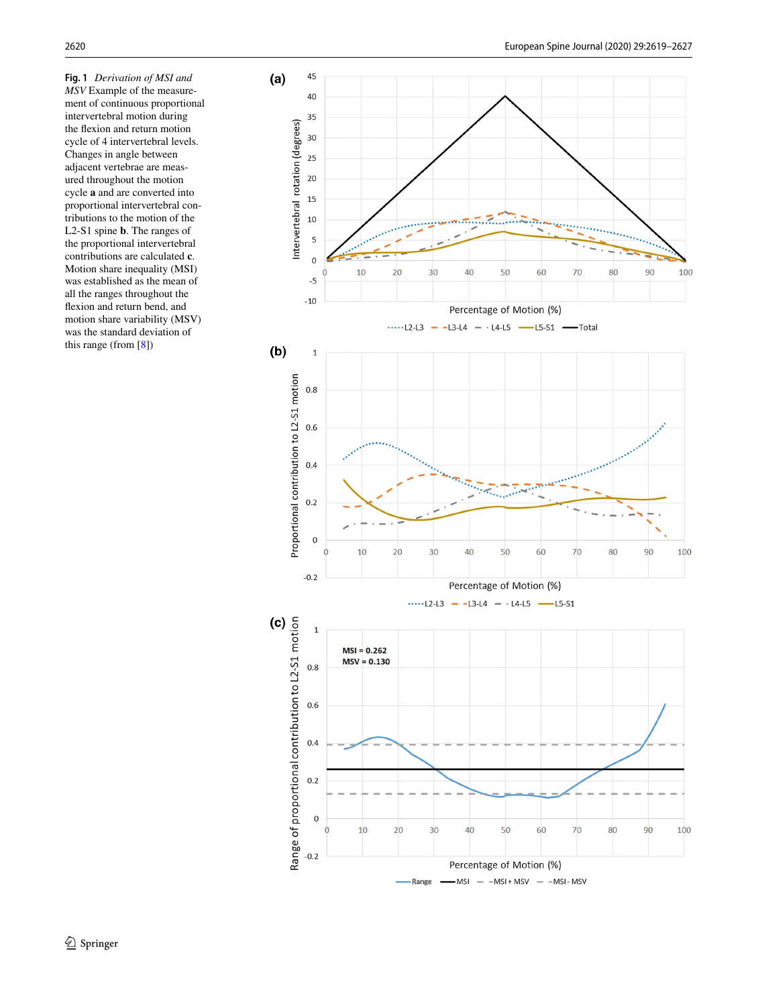<span id="page-1-0"></span>**Fig. 1** *Derivation of MSI and MSV* Example of the measure ment of continuous proportional intervertebral motion during the fexion and return motion cycle of 4 intervertebral levels. Changes in angle between adjacent vertebrae are meas ured throughout the motion cycle **a** and are converted into proportional intervertebral con tributions to the motion of the L2-S1 spine **b**. The ranges of the proportional intervertebral contributions are calculated **c**. Motion share inequality (MSI) was established as the mean of all the ranges throughout the fexion and return bend, and motion share variability (MSV) was the standard deviation of this range (from [ [8\]](#page-7-7))

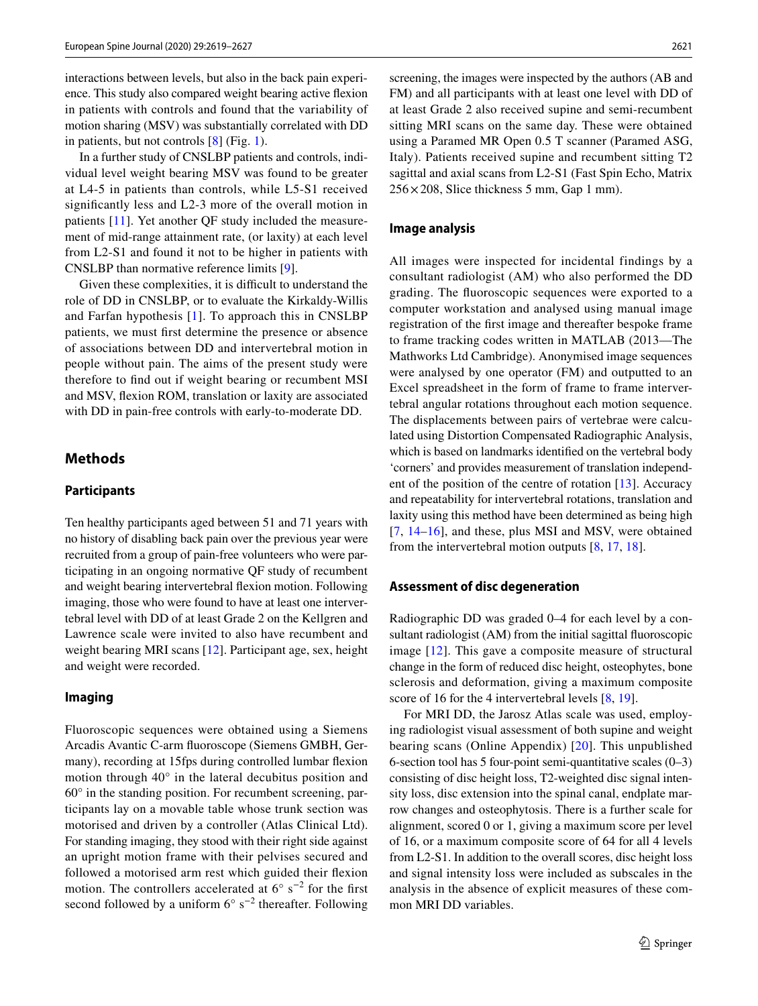interactions between levels, but also in the back pain experience. This study also compared weight bearing active fexion in patients with controls and found that the variability of motion sharing (MSV) was substantially correlated with DD in patients, but not controls [[8\]](#page-7-7) (Fig. [1\)](#page-1-0).

In a further study of CNSLBP patients and controls, individual level weight bearing MSV was found to be greater at L4-5 in patients than controls, while L5-S1 received signifcantly less and L2-3 more of the overall motion in patients [[11](#page-7-8)]. Yet another QF study included the measurement of mid-range attainment rate, (or laxity) at each level from L2-S1 and found it not to be higher in patients with CNSLBP than normative reference limits [\[9](#page-7-5)].

Given these complexities, it is difficult to understand the role of DD in CNSLBP, or to evaluate the Kirkaldy-Willis and Farfan hypothesis [[1\]](#page-7-0). To approach this in CNSLBP patients, we must frst determine the presence or absence of associations between DD and intervertebral motion in people without pain. The aims of the present study were therefore to fnd out if weight bearing or recumbent MSI and MSV, fexion ROM, translation or laxity are associated with DD in pain-free controls with early-to-moderate DD.

## **Methods**

# **Participants**

Ten healthy participants aged between 51 and 71 years with no history of disabling back pain over the previous year were recruited from a group of pain-free volunteers who were participating in an ongoing normative QF study of recumbent and weight bearing intervertebral fexion motion. Following imaging, those who were found to have at least one intervertebral level with DD of at least Grade 2 on the Kellgren and Lawrence scale were invited to also have recumbent and weight bearing MRI scans [\[12\]](#page-7-9). Participant age, sex, height and weight were recorded.

## **Imaging**

Fluoroscopic sequences were obtained using a Siemens Arcadis Avantic C-arm fuoroscope (Siemens GMBH, Germany), recording at 15fps during controlled lumbar fexion motion through 40° in the lateral decubitus position and 60° in the standing position. For recumbent screening, participants lay on a movable table whose trunk section was motorised and driven by a controller (Atlas Clinical Ltd). For standing imaging, they stood with their right side against an upright motion frame with their pelvises secured and followed a motorised arm rest which guided their fexion motion. The controllers accelerated at  $6^{\circ}$  s<sup>-2</sup> for the first second followed by a uniform  $6^{\circ}$  s<sup>-2</sup> thereafter. Following screening, the images were inspected by the authors (AB and FM) and all participants with at least one level with DD of at least Grade 2 also received supine and semi-recumbent sitting MRI scans on the same day. These were obtained using a Paramed MR Open 0.5 T scanner (Paramed ASG, Italy). Patients received supine and recumbent sitting T2 sagittal and axial scans from L2-S1 (Fast Spin Echo, Matrix  $256 \times 208$ , Slice thickness 5 mm, Gap 1 mm).

#### **Image analysis**

All images were inspected for incidental findings by a consultant radiologist (AM) who also performed the DD grading. The fuoroscopic sequences were exported to a computer workstation and analysed using manual image registration of the frst image and thereafter bespoke frame to frame tracking codes written in MATLAB (2013—The Mathworks Ltd Cambridge). Anonymised image sequences were analysed by one operator (FM) and outputted to an Excel spreadsheet in the form of frame to frame intervertebral angular rotations throughout each motion sequence. The displacements between pairs of vertebrae were calculated using Distortion Compensated Radiographic Analysis, which is based on landmarks identifed on the vertebral body 'corners' and provides measurement of translation independent of the position of the centre of rotation [[13\]](#page-7-10). Accuracy and repeatability for intervertebral rotations, translation and laxity using this method have been determined as being high [[7,](#page-7-11) [14–](#page-7-12)[16](#page-7-13)], and these, plus MSI and MSV, were obtained from the intervertebral motion outputs  $[8, 17, 18]$  $[8, 17, 18]$  $[8, 17, 18]$  $[8, 17, 18]$  $[8, 17, 18]$  $[8, 17, 18]$ .

#### **Assessment of disc degeneration**

Radiographic DD was graded 0–4 for each level by a consultant radiologist (AM) from the initial sagittal fluoroscopic image [[12](#page-7-9)]. This gave a composite measure of structural change in the form of reduced disc height, osteophytes, bone sclerosis and deformation, giving a maximum composite score of 16 for the 4 intervertebral levels  $[8, 19]$  $[8, 19]$  $[8, 19]$  $[8, 19]$ .

For MRI DD, the Jarosz Atlas scale was used, employing radiologist visual assessment of both supine and weight bearing scans (Online Appendix) [\[20\]](#page-7-17). This unpublished 6-section tool has 5 four-point semi-quantitative scales (0–3) consisting of disc height loss, T2-weighted disc signal intensity loss, disc extension into the spinal canal, endplate marrow changes and osteophytosis. There is a further scale for alignment, scored 0 or 1, giving a maximum score per level of 16, or a maximum composite score of 64 for all 4 levels from L2-S1. In addition to the overall scores, disc height loss and signal intensity loss were included as subscales in the analysis in the absence of explicit measures of these common MRI DD variables.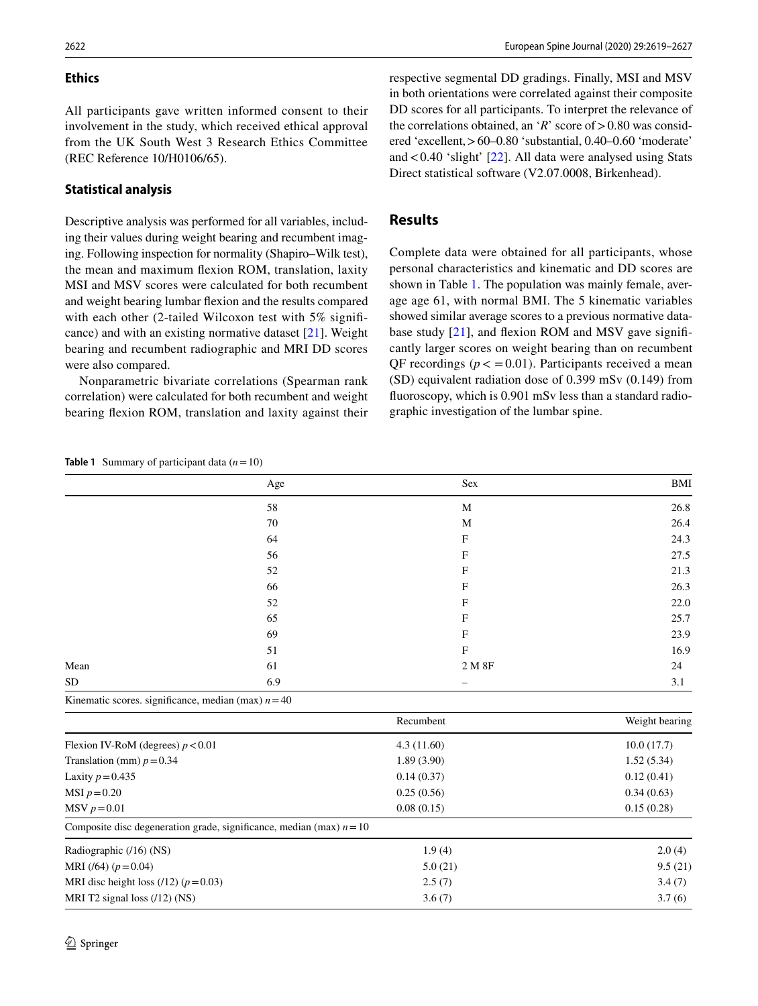# **Ethics**

All participants gave written informed consent to their involvement in the study, which received ethical approval from the UK South West 3 Research Ethics Committee (REC Reference 10/H0106/65).

#### **Statistical analysis**

Descriptive analysis was performed for all variables, including their values during weight bearing and recumbent imaging. Following inspection for normality (Shapiro–Wilk test), the mean and maximum fexion ROM, translation, laxity MSI and MSV scores were calculated for both recumbent and weight bearing lumbar fexion and the results compared with each other (2-tailed Wilcoxon test with 5% significance) and with an existing normative dataset [\[21\]](#page-7-18). Weight bearing and recumbent radiographic and MRI DD scores were also compared.

Nonparametric bivariate correlations (Spearman rank correlation) were calculated for both recumbent and weight bearing fexion ROM, translation and laxity against their respective segmental DD gradings. Finally, MSI and MSV in both orientations were correlated against their composite DD scores for all participants. To interpret the relevance of the correlations obtained, an ' $R$ ' score of  $> 0.80$  was considered 'excellent,>60–0.80 'substantial, 0.40–0.60 'moderate' and  $< 0.40$  'slight' [[22\]](#page-7-19). All data were analysed using Stats Direct statistical software (V2.07.0008, Birkenhead).

# **Results**

Complete data were obtained for all participants, whose personal characteristics and kinematic and DD scores are shown in Table [1](#page-3-0). The population was mainly female, average age 61, with normal BMI. The 5 kinematic variables showed similar average scores to a previous normative data-base study [\[21](#page-7-18)], and flexion ROM and MSV gave significantly larger scores on weight bearing than on recumbent QF recordings ( $p < 0.01$ ). Participants received a mean (SD) equivalent radiation dose of 0.399 mSv (0.149) from fuoroscopy, which is 0.901 mSv less than a standard radiographic investigation of the lumbar spine.

<span id="page-3-0"></span>**Table 1** Summary of participant data  $(n=10)$ 

|           | Age                                                   | Sex         | <b>BMI</b>     |
|-----------|-------------------------------------------------------|-------------|----------------|
|           | 58                                                    | M           | 26.8           |
|           | 70                                                    | M           | 26.4           |
|           | 64                                                    | $\mathbf F$ | 24.3           |
|           | 56                                                    | F           | 27.5           |
|           | 52                                                    | F           | 21.3           |
|           | 66                                                    | F           | 26.3           |
|           | 52                                                    | F           | 22.0           |
|           | 65                                                    | F           | 25.7           |
|           | 69                                                    | F           | 23.9           |
|           | 51                                                    | $\mathbf F$ | 16.9           |
| Mean      | 61                                                    | 2 M 8F      | 24             |
| <b>SD</b> | 6.9                                                   |             | 3.1            |
|           | Kinematic scores. significance, median (max) $n = 40$ |             |                |
|           | Recumbent                                             |             | Weight bearing |
|           |                                                       |             |                |

| Flexion IV-RoM (degrees) $p < 0.01$                                    | 4.3(11.60) | 10.0(17.7) |  |
|------------------------------------------------------------------------|------------|------------|--|
| Translation (mm) $p = 0.34$                                            | 1.89(3.90) | 1.52(5.34) |  |
| Laxity $p = 0.435$                                                     | 0.14(0.37) | 0.12(0.41) |  |
| MSI $p = 0.20$                                                         | 0.25(0.56) | 0.34(0.63) |  |
| $MSV p = 0.01$                                                         | 0.08(0.15) | 0.15(0.28) |  |
| Composite disc degeneration grade, significance, median (max) $n = 10$ |            |            |  |
| Radiographic (/16) (NS)                                                | 1.9(4)     | 2.0(4)     |  |
| MRI (/64) $(p=0.04)$                                                   | 5.0(21)    | 9.5(21)    |  |
| MRI disc height loss (/12) ( $p = 0.03$ )                              | 2.5(7)     | 3.4(7)     |  |
| MRI T2 signal loss $(12)$ (NS)                                         | 3.6(7)     | 3.7(6)     |  |
|                                                                        |            |            |  |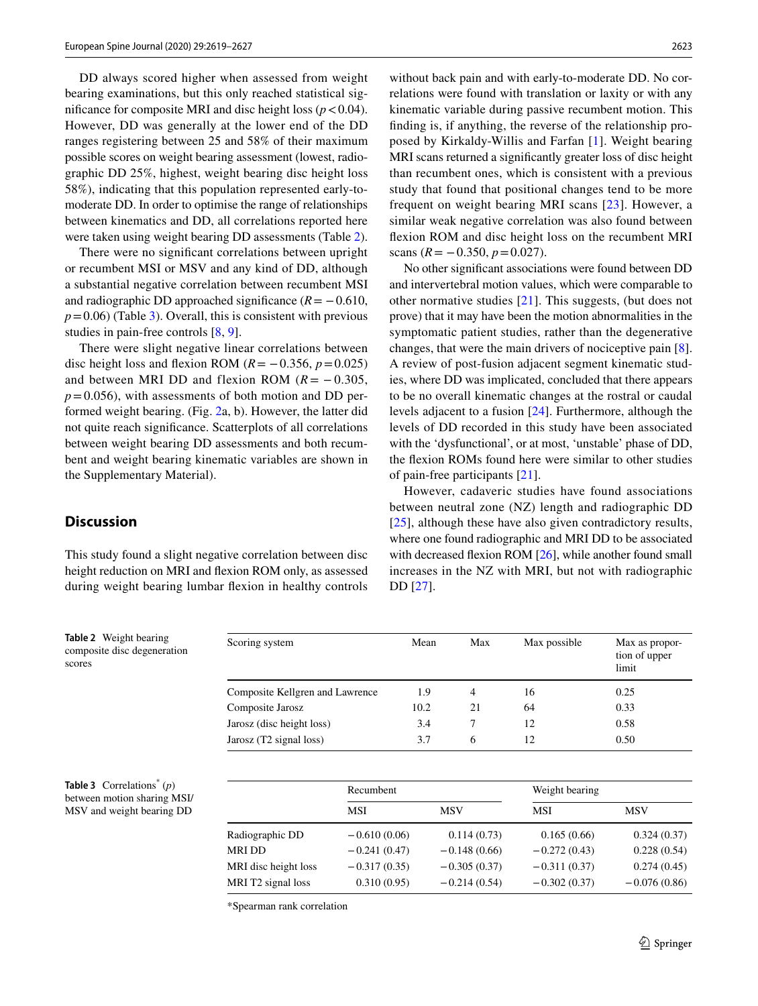DD always scored higher when assessed from weight bearing examinations, but this only reached statistical significance for composite MRI and disc height loss ( $p < 0.04$ ). However, DD was generally at the lower end of the DD ranges registering between 25 and 58% of their maximum possible scores on weight bearing assessment (lowest, radiographic DD 25%, highest, weight bearing disc height loss 58%), indicating that this population represented early-tomoderate DD. In order to optimise the range of relationships between kinematics and DD, all correlations reported here were taken using weight bearing DD assessments (Table [2](#page-4-0)).

There were no signifcant correlations between upright or recumbent MSI or MSV and any kind of DD, although a substantial negative correlation between recumbent MSI and radiographic DD approached significance  $(R = -0.610)$ ,  $p = 0.06$ ) (Table [3](#page-4-1)). Overall, this is consistent with previous studies in pain-free controls [\[8](#page-7-7), [9](#page-7-5)].

There were slight negative linear correlations between disc height loss and flexion ROM ( $R = -0.356$ ,  $p = 0.025$ ) and between MRI DD and flexion ROM  $(R = -0.305)$ ,  $p=0.056$ ), with assessments of both motion and DD performed weight bearing. (Fig. [2a](#page-5-0), b). However, the latter did not quite reach signifcance. Scatterplots of all correlations between weight bearing DD assessments and both recumbent and weight bearing kinematic variables are shown in the Supplementary Material).

without back pain and with early-to-moderate DD. No correlations were found with translation or laxity or with any kinematic variable during passive recumbent motion. This fnding is, if anything, the reverse of the relationship proposed by Kirkaldy-Willis and Farfan [[1](#page-7-0)]. Weight bearing MRI scans returned a signifcantly greater loss of disc height than recumbent ones, which is consistent with a previous study that found that positional changes tend to be more frequent on weight bearing MRI scans [[23](#page-7-20)]. However, a similar weak negative correlation was also found between fexion ROM and disc height loss on the recumbent MRI scans  $(R = -0.350, p = 0.027)$ .

No other signifcant associations were found between DD and intervertebral motion values, which were comparable to other normative studies [[21\]](#page-7-18). This suggests, (but does not prove) that it may have been the motion abnormalities in the symptomatic patient studies, rather than the degenerative changes, that were the main drivers of nociceptive pain [\[8](#page-7-7)]. A review of post-fusion adjacent segment kinematic studies, where DD was implicated, concluded that there appears to be no overall kinematic changes at the rostral or caudal levels adjacent to a fusion [\[24](#page-7-21)]. Furthermore, although the levels of DD recorded in this study have been associated with the 'dysfunctional', or at most, 'unstable' phase of DD, the fexion ROMs found here were similar to other studies of pain-free participants [\[21](#page-7-18)].

However, cadaveric studies have found associations between neutral zone (NZ) length and radiographic DD [[25\]](#page-7-22), although these have also given contradictory results, where one found radiographic and MRI DD to be associated with decreased flexion ROM [\[26](#page-7-23)], while another found small increases in the NZ with MRI, but not with radiographic DD [\[27\]](#page-7-24).

# **Discussion**

This study found a slight negative correlation between disc height reduction on MRI and fexion ROM only, as assessed during weight bearing lumbar fexion in healthy controls

<span id="page-4-0"></span>**Table 2** Weight bearing composite disc degeneration scores

| Scoring system                  | Mean | Max | Max possible | Max as propor-         |
|---------------------------------|------|-----|--------------|------------------------|
|                                 |      |     |              | tion of upper<br>limit |
| Composite Kellgren and Lawrence | 1.9  | 4   | 16           | 0.25                   |
| Composite Jarosz                | 10.2 | 21  | 64           | 0.33                   |
| Jarosz (disc height loss)       | 3.4  |     | 12           | 0.58                   |
| Jarosz $(T2$ signal loss)       | 3.7  | 6   | 12           | 0.50                   |

<span id="page-4-1"></span>**Table 3** Correlations\* (*p*) between motion sharing MSI/ MSV and weight bearing DD

|                      | Recumbent      |                | Weight bearing |                |
|----------------------|----------------|----------------|----------------|----------------|
|                      | MSI            | MSV            | <b>MSI</b>     | MSV            |
| Radiographic DD      | $-0.610(0.06)$ | 0.114(0.73)    | 0.165(0.66)    | 0.324(0.37)    |
| MRI DD               | $-0.241(0.47)$ | $-0.148(0.66)$ | $-0.272(0.43)$ | 0.228(0.54)    |
| MRI disc height loss | $-0.317(0.35)$ | $-0.305(0.37)$ | $-0.311(0.37)$ | 0.274(0.45)    |
| MRI T2 signal loss   | 0.310(0.95)    | $-0.214(0.54)$ | $-0.302(0.37)$ | $-0.076(0.86)$ |

\*Spearman rank correlation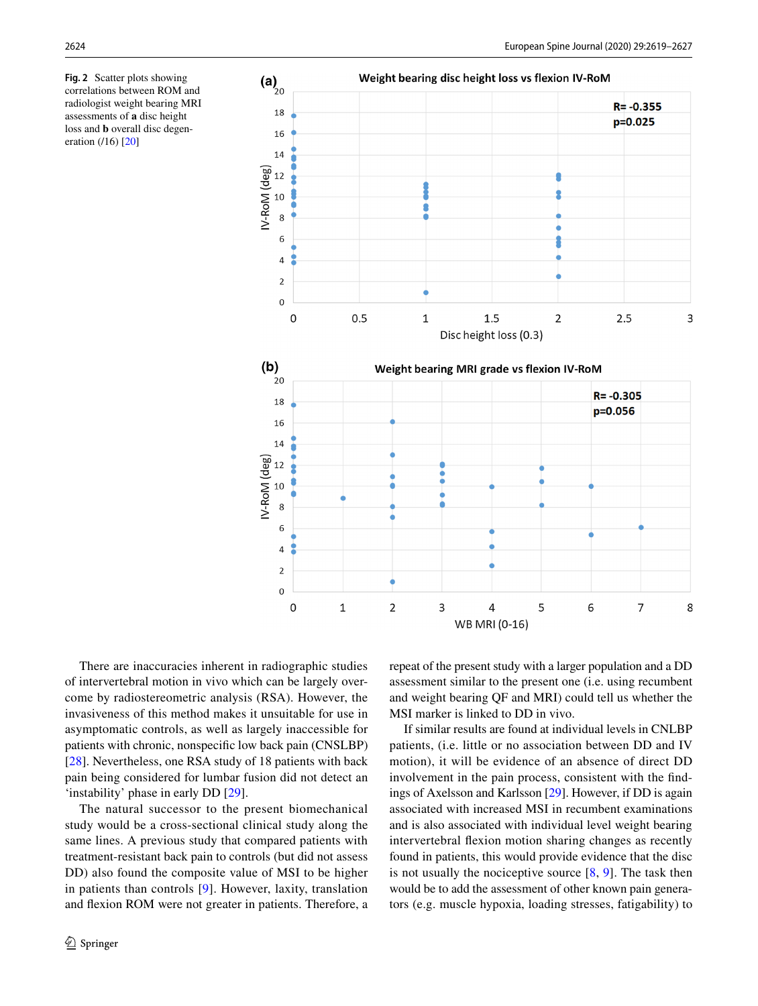<span id="page-5-0"></span>**Fig. 2** Scatter plots showing correlations between ROM and radiologist weight bearing MRI assessments of **a** disc height loss and **b** overall disc degen-eration (/16) [\[20\]](#page-7-17)



There are inaccuracies inherent in radiographic studies of intervertebral motion in vivo which can be largely overcome by radiostereometric analysis (RSA). However, the invasiveness of this method makes it unsuitable for use in asymptomatic controls, as well as largely inaccessible for patients with chronic, nonspecifc low back pain (CNSLBP) [\[28\]](#page-7-25). Nevertheless, one RSA study of 18 patients with back pain being considered for lumbar fusion did not detect an 'instability' phase in early DD [\[29](#page-7-26)].

The natural successor to the present biomechanical study would be a cross-sectional clinical study along the same lines. A previous study that compared patients with treatment-resistant back pain to controls (but did not assess DD) also found the composite value of MSI to be higher in patients than controls [\[9](#page-7-5)]. However, laxity, translation and fexion ROM were not greater in patients. Therefore, a repeat of the present study with a larger population and a DD assessment similar to the present one (i.e. using recumbent and weight bearing QF and MRI) could tell us whether the MSI marker is linked to DD in vivo.

If similar results are found at individual levels in CNLBP patients, (i.e. little or no association between DD and IV motion), it will be evidence of an absence of direct DD involvement in the pain process, consistent with the fndings of Axelsson and Karlsson [\[29](#page-7-26)]. However, if DD is again associated with increased MSI in recumbent examinations and is also associated with individual level weight bearing intervertebral fexion motion sharing changes as recently found in patients, this would provide evidence that the disc is not usually the nociceptive source  $[8, 9]$  $[8, 9]$  $[8, 9]$  $[8, 9]$ . The task then would be to add the assessment of other known pain generators (e.g. muscle hypoxia, loading stresses, fatigability) to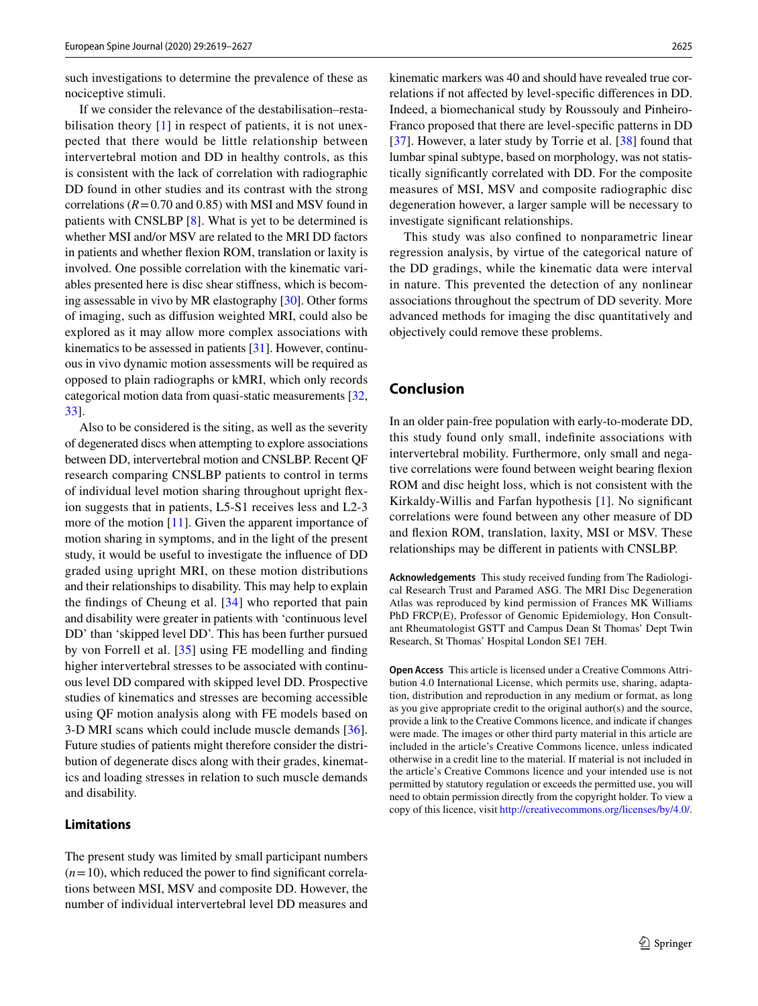such investigations to determine the prevalence of these as nociceptive stimuli.

If we consider the relevance of the destabilisation–resta-bilisation theory [[1](#page-7-0)] in respect of patients, it is not unexpected that there would be little relationship between intervertebral motion and DD in healthy controls, as this is consistent with the lack of correlation with radiographic DD found in other studies and its contrast with the strong correlations  $(R=0.70$  and 0.85) with MSI and MSV found in patients with CNSLBP [[8\]](#page-7-7). What is yet to be determined is whether MSI and/or MSV are related to the MRI DD factors in patients and whether fexion ROM, translation or laxity is involved. One possible correlation with the kinematic variables presented here is disc shear stifness, which is becoming assessable in vivo by MR elastography [\[30](#page-7-27)]. Other forms of imaging, such as difusion weighted MRI, could also be explored as it may allow more complex associations with kinematics to be assessed in patients [[31\]](#page-7-28). However, continuous in vivo dynamic motion assessments will be required as opposed to plain radiographs or kMRI, which only records categorical motion data from quasi-static measurements [[32,](#page-7-29) [33](#page-7-30)].

Also to be considered is the siting, as well as the severity of degenerated discs when attempting to explore associations between DD, intervertebral motion and CNSLBP. Recent QF research comparing CNSLBP patients to control in terms of individual level motion sharing throughout upright fexion suggests that in patients, L5-S1 receives less and L2-3 more of the motion [[11\]](#page-7-8). Given the apparent importance of motion sharing in symptoms, and in the light of the present study, it would be useful to investigate the infuence of DD graded using upright MRI, on these motion distributions and their relationships to disability. This may help to explain the fndings of Cheung et al. [\[34\]](#page-7-31) who reported that pain and disability were greater in patients with 'continuous level DD' than 'skipped level DD'. This has been further pursued by von Forrell et al. [\[35\]](#page-7-32) using FE modelling and fnding higher intervertebral stresses to be associated with continuous level DD compared with skipped level DD. Prospective studies of kinematics and stresses are becoming accessible using QF motion analysis along with FE models based on 3-D MRI scans which could include muscle demands [\[36](#page-7-33)]. Future studies of patients might therefore consider the distribution of degenerate discs along with their grades, kinematics and loading stresses in relation to such muscle demands and disability.

## **Limitations**

The present study was limited by small participant numbers  $(n=10)$ , which reduced the power to find significant correlations between MSI, MSV and composite DD. However, the number of individual intervertebral level DD measures and kinematic markers was 40 and should have revealed true correlations if not afected by level-specifc diferences in DD. Indeed, a biomechanical study by Roussouly and Pinheiro-Franco proposed that there are level-specifc patterns in DD [[37\]](#page-8-0). However, a later study by Torrie et al. [\[38](#page-8-1)] found that lumbar spinal subtype, based on morphology, was not statistically signifcantly correlated with DD. For the composite measures of MSI, MSV and composite radiographic disc degeneration however, a larger sample will be necessary to investigate signifcant relationships.

This study was also confned to nonparametric linear regression analysis, by virtue of the categorical nature of the DD gradings, while the kinematic data were interval in nature. This prevented the detection of any nonlinear associations throughout the spectrum of DD severity. More advanced methods for imaging the disc quantitatively and objectively could remove these problems.

# **Conclusion**

In an older pain-free population with early-to-moderate DD, this study found only small, indefnite associations with intervertebral mobility. Furthermore, only small and negative correlations were found between weight bearing fexion ROM and disc height loss, which is not consistent with the Kirkaldy-Willis and Farfan hypothesis [[1\]](#page-7-0). No signifcant correlations were found between any other measure of DD and fexion ROM, translation, laxity, MSI or MSV. These relationships may be diferent in patients with CNSLBP.

**Acknowledgements** This study received funding from The Radiological Research Trust and Paramed ASG. The MRI Disc Degeneration Atlas was reproduced by kind permission of Frances MK Williams PhD FRCP(E), Professor of Genomic Epidemiology, Hon Consultant Rheumatologist GSTT and Campus Dean St Thomas' Dept Twin Research, St Thomas' Hospital London SE1 7EH.

**Open Access** This article is licensed under a Creative Commons Attribution 4.0 International License, which permits use, sharing, adaptation, distribution and reproduction in any medium or format, as long as you give appropriate credit to the original author(s) and the source, provide a link to the Creative Commons licence, and indicate if changes were made. The images or other third party material in this article are included in the article's Creative Commons licence, unless indicated otherwise in a credit line to the material. If material is not included in the article's Creative Commons licence and your intended use is not permitted by statutory regulation or exceeds the permitted use, you will need to obtain permission directly from the copyright holder. To view a copy of this licence, visit<http://creativecommons.org/licenses/by/4.0/>.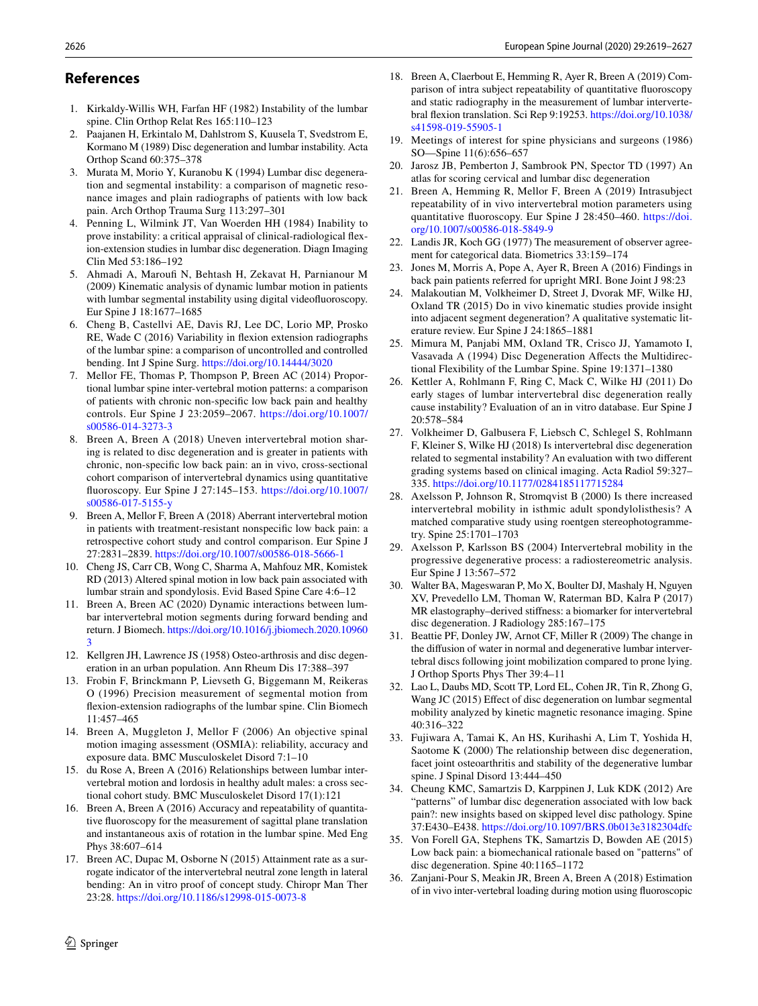### **References**

- <span id="page-7-0"></span>1. Kirkaldy-Willis WH, Farfan HF (1982) Instability of the lumbar spine. Clin Orthop Relat Res 165:110–123
- <span id="page-7-1"></span>2. Paajanen H, Erkintalo M, Dahlstrom S, Kuusela T, Svedstrom E, Kormano M (1989) Disc degeneration and lumbar instability. Acta Orthop Scand 60:375–378
- <span id="page-7-2"></span>3. Murata M, Morio Y, Kuranobu K (1994) Lumbar disc degeneration and segmental instability: a comparison of magnetic resonance images and plain radiographs of patients with low back pain. Arch Orthop Trauma Surg 113:297–301
- <span id="page-7-3"></span>4. Penning L, Wilmink JT, Van Woerden HH (1984) Inability to prove instability: a critical appraisal of clinical-radiological fexion-extension studies in lumbar disc degeneration. Diagn Imaging Clin Med 53:186–192
- <span id="page-7-4"></span>5. Ahmadi A, Marouf N, Behtash H, Zekavat H, Parnianour M (2009) Kinematic analysis of dynamic lumbar motion in patients with lumbar segmental instability using digital videofuoroscopy. Eur Spine J 18:1677–1685
- 6. Cheng B, Castellvi AE, Davis RJ, Lee DC, Lorio MP, Prosko RE, Wade C (2016) Variability in fexion extension radiographs of the lumbar spine: a comparison of uncontrolled and controlled bending. Int J Spine Surg. <https://doi.org/10.14444/3020>
- <span id="page-7-11"></span>7. Mellor FE, Thomas P, Thompson P, Breen AC (2014) Proportional lumbar spine inter-vertebral motion patterns: a comparison of patients with chronic non-specifc low back pain and healthy controls. Eur Spine J 23:2059–2067. [https://doi.org/10.1007/](https://doi.org/10.1007/s00586-014-3273-3) [s00586-014-3273-3](https://doi.org/10.1007/s00586-014-3273-3)
- <span id="page-7-7"></span>8. Breen A, Breen A (2018) Uneven intervertebral motion sharing is related to disc degeneration and is greater in patients with chronic, non-specifc low back pain: an in vivo, cross-sectional cohort comparison of intervertebral dynamics using quantitative fuoroscopy. Eur Spine J 27:145–153. [https://doi.org/10.1007/](https://doi.org/10.1007/s00586-017-5155-y) [s00586-017-5155-y](https://doi.org/10.1007/s00586-017-5155-y)
- <span id="page-7-5"></span>9. Breen A, Mellor F, Breen A (2018) Aberrant intervertebral motion in patients with treatment-resistant nonspecifc low back pain: a retrospective cohort study and control comparison. Eur Spine J 27:2831–2839. <https://doi.org/10.1007/s00586-018-5666-1>
- <span id="page-7-6"></span>10. Cheng JS, Carr CB, Wong C, Sharma A, Mahfouz MR, Komistek RD (2013) Altered spinal motion in low back pain associated with lumbar strain and spondylosis. Evid Based Spine Care 4:6–12
- <span id="page-7-8"></span>11. Breen A, Breen AC (2020) Dynamic interactions between lumbar intervertebral motion segments during forward bending and return. J Biomech. [https://doi.org/10.1016/j.jbiomech.2020.10960](https://doi.org/10.1016/j.jbiomech.2020.109603) [3](https://doi.org/10.1016/j.jbiomech.2020.109603)
- <span id="page-7-9"></span>12. Kellgren JH, Lawrence JS (1958) Osteo-arthrosis and disc degeneration in an urban population. Ann Rheum Dis 17:388–397
- <span id="page-7-10"></span>13. Frobin F, Brinckmann P, Lievseth G, Biggemann M, Reikeras O (1996) Precision measurement of segmental motion from fexion-extension radiographs of the lumbar spine. Clin Biomech 11:457–465
- <span id="page-7-12"></span>14. Breen A, Muggleton J, Mellor F (2006) An objective spinal motion imaging assessment (OSMIA): reliability, accuracy and exposure data. BMC Musculoskelet Disord 7:1–10
- 15. du Rose A, Breen A (2016) Relationships between lumbar intervertebral motion and lordosis in healthy adult males: a cross sectional cohort study. BMC Musculoskelet Disord 17(1):121
- <span id="page-7-13"></span>16. Breen A, Breen A (2016) Accuracy and repeatability of quantitative fuoroscopy for the measurement of sagittal plane translation and instantaneous axis of rotation in the lumbar spine. Med Eng Phys 38:607–614
- <span id="page-7-14"></span>17. Breen AC, Dupac M, Osborne N (2015) Attainment rate as a surrogate indicator of the intervertebral neutral zone length in lateral bending: An in vitro proof of concept study. Chiropr Man Ther 23:28. <https://doi.org/10.1186/s12998-015-0073-8>
- <span id="page-7-15"></span>18. Breen A, Claerbout E, Hemming R, Ayer R, Breen A (2019) Comparison of intra subject repeatability of quantitative fuoroscopy and static radiography in the measurement of lumbar intervertebral fexion translation. Sci Rep 9:19253. [https://doi.org/10.1038/](https://doi.org/10.1038/s41598-019-55905-1) [s41598-019-55905-1](https://doi.org/10.1038/s41598-019-55905-1)
- <span id="page-7-16"></span>19. Meetings of interest for spine physicians and surgeons (1986) SO—Spine 11(6):656–657
- <span id="page-7-17"></span>20. Jarosz JB, Pemberton J, Sambrook PN, Spector TD (1997) An atlas for scoring cervical and lumbar disc degeneration
- <span id="page-7-18"></span>21. Breen A, Hemming R, Mellor F, Breen A (2019) Intrasubject repeatability of in vivo intervertebral motion parameters using quantitative fuoroscopy. Eur Spine J 28:450–460. [https://doi.](https://doi.org/10.1007/s00586-018-5849-9) [org/10.1007/s00586-018-5849-9](https://doi.org/10.1007/s00586-018-5849-9)
- <span id="page-7-19"></span>22. Landis JR, Koch GG (1977) The measurement of observer agreement for categorical data. Biometrics 33:159–174
- <span id="page-7-20"></span>23. Jones M, Morris A, Pope A, Ayer R, Breen A (2016) Findings in back pain patients referred for upright MRI. Bone Joint J 98:23
- <span id="page-7-21"></span>24. Malakoutian M, Volkheimer D, Street J, Dvorak MF, Wilke HJ, Oxland TR (2015) Do in vivo kinematic studies provide insight into adjacent segment degeneration? A qualitative systematic literature review. Eur Spine J 24:1865–1881
- <span id="page-7-22"></span>25. Mimura M, Panjabi MM, Oxland TR, Crisco JJ, Yamamoto I, Vasavada A (1994) Disc Degeneration Afects the Multidirectional Flexibility of the Lumbar Spine. Spine 19:1371–1380
- <span id="page-7-23"></span>26. Kettler A, Rohlmann F, Ring C, Mack C, Wilke HJ (2011) Do early stages of lumbar intervertebral disc degeneration really cause instability? Evaluation of an in vitro database. Eur Spine J 20:578–584
- <span id="page-7-24"></span>27. Volkheimer D, Galbusera F, Liebsch C, Schlegel S, Rohlmann F, Kleiner S, Wilke HJ (2018) Is intervertebral disc degeneration related to segmental instability? An evaluation with two diferent grading systems based on clinical imaging. Acta Radiol 59:327– 335.<https://doi.org/10.1177/0284185117715284>
- <span id="page-7-25"></span>28. Axelsson P, Johnson R, Stromqvist B (2000) Is there increased intervertebral mobility in isthmic adult spondylolisthesis? A matched comparative study using roentgen stereophotogrammetry. Spine 25:1701–1703
- <span id="page-7-26"></span>29. Axelsson P, Karlsson BS (2004) Intervertebral mobility in the progressive degenerative process: a radiostereometric analysis. Eur Spine J 13:567–572
- <span id="page-7-27"></span>30. Walter BA, Mageswaran P, Mo X, Boulter DJ, Mashaly H, Nguyen XV, Prevedello LM, Thoman W, Raterman BD, Kalra P (2017) MR elastography–derived stifness: a biomarker for intervertebral disc degeneration. J Radiology 285:167–175
- <span id="page-7-28"></span>31. Beattie PF, Donley JW, Arnot CF, Miller R (2009) The change in the difusion of water in normal and degenerative lumbar intervertebral discs following joint mobilization compared to prone lying. J Orthop Sports Phys Ther 39:4–11
- <span id="page-7-29"></span>32. Lao L, Daubs MD, Scott TP, Lord EL, Cohen JR, Tin R, Zhong G, Wang JC (2015) Efect of disc degeneration on lumbar segmental mobility analyzed by kinetic magnetic resonance imaging. Spine 40:316–322
- <span id="page-7-30"></span>33. Fujiwara A, Tamai K, An HS, Kurihashi A, Lim T, Yoshida H, Saotome K (2000) The relationship between disc degeneration, facet joint osteoarthritis and stability of the degenerative lumbar spine. J Spinal Disord 13:444–450
- <span id="page-7-31"></span>34. Cheung KMC, Samartzis D, Karppinen J, Luk KDK (2012) Are "patterns" of lumbar disc degeneration associated with low back pain?: new insights based on skipped level disc pathology. Spine 37:E430–E438. <https://doi.org/10.1097/BRS.0b013e3182304dfc>
- <span id="page-7-32"></span>35. Von Forell GA, Stephens TK, Samartzis D, Bowden AE (2015) Low back pain: a biomechanical rationale based on "patterns" of disc degeneration. Spine 40:1165–1172
- <span id="page-7-33"></span>36. Zanjani-Pour S, Meakin JR, Breen A, Breen A (2018) Estimation of in vivo inter-vertebral loading during motion using fuoroscopic